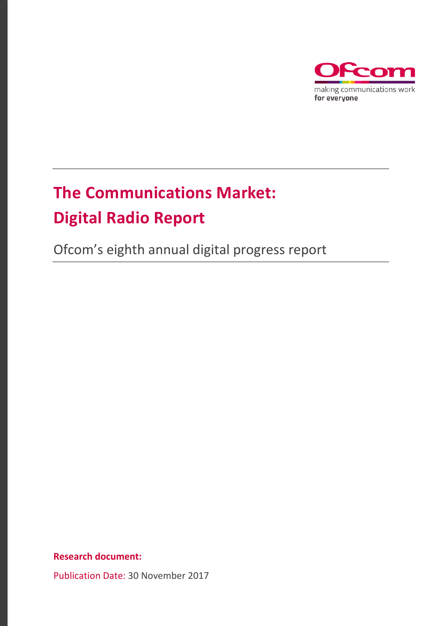

# **The Communications Market: Digital Radio Report**

Ofcom's eighth annual digital progress report

**Research document:**

Publication Date: 30 November 2017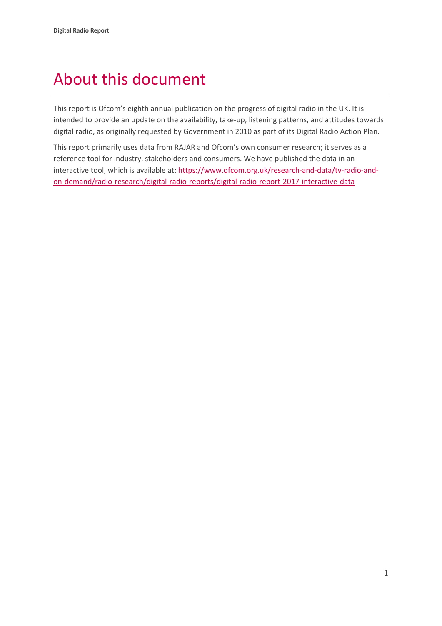# About this document

This report is Ofcom's eighth annual publication on the progress of digital radio in the UK. It is intended to provide an update on the availability, take-up, listening patterns, and attitudes towards digital radio, as originally requested by Government in 2010 as part of its Digital Radio Action Plan.

This report primarily uses data from RAJAR and Ofcom's own consumer research; it serves as a reference tool for industry, stakeholders and consumers. We have published the data in an interactive tool, which is available at: [https://www.ofcom.org.uk/research-and-data/tv-radio-and](https://www.ofcom.org.uk/research-and-data/tv-radio-and-on-demand/radio-research/digital-radio-reports/digital-radio-report-2017-interactive-data)[on-demand/radio-research/digital-radio-reports/digital-radio-report-2017-interactive-data](https://www.ofcom.org.uk/research-and-data/tv-radio-and-on-demand/radio-research/digital-radio-reports/digital-radio-report-2017-interactive-data)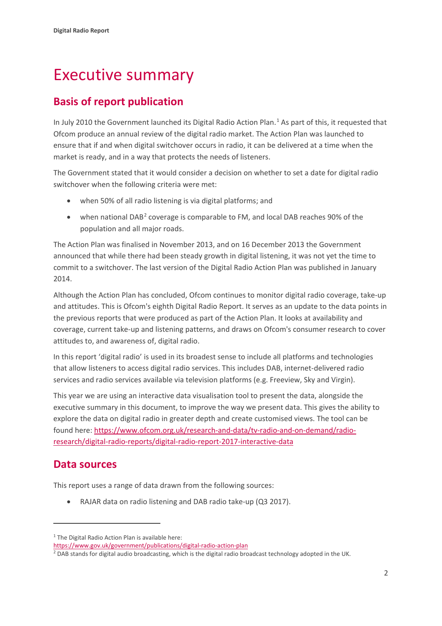# Executive summary

# **Basis of report publication**

In July 2010 the Government launched its Digital Radio Action Plan. [1](#page-2-0) As part of this, it requested that Ofcom produce an annual review of the digital radio market. The Action Plan was launched to ensure that if and when digital switchover occurs in radio, it can be delivered at a time when the market is ready, and in a way that protects the needs of listeners.

The Government stated that it would consider a decision on whether to set a date for digital radio switchover when the following criteria were met:

- when 50% of all radio listening is via digital platforms; and
- when national DAB<sup>[2](#page-2-1)</sup> coverage is comparable to FM, and local DAB reaches 90% of the population and all major roads.

The Action Plan was finalised in November 2013, and on 16 December 2013 the Government announced that while there had been steady growth in digital listening, it was not yet the time to commit to a switchover. The last version of the Digital Radio Action Plan was published in January 2014.

Although the Action Plan has concluded, Ofcom continues to monitor digital radio coverage, take-up and attitudes. This is Ofcom's eighth Digital Radio Report. It serves as an update to the data points in the previous reports that were produced as part of the Action Plan. It looks at availability and coverage, current take-up and listening patterns, and draws on Ofcom's consumer research to cover attitudes to, and awareness of, digital radio.

In this report 'digital radio' is used in its broadest sense to include all platforms and technologies that allow listeners to access digital radio services. This includes DAB, internet-delivered radio services and radio services available via television platforms (e.g. Freeview, Sky and Virgin).

This year we are using an interactive data visualisation tool to present the data, alongside the executive summary in this document, to improve the way we present data. This gives the ability to explore the data on digital radio in greater depth and create customised views. The tool can be found here: [https://www.ofcom.org.uk/research-and-data/tv-radio-and-on-demand/radio](https://www.ofcom.org.uk/research-and-data/tv-radio-and-on-demand/radio-research/digital-radio-reports/digital-radio-report-2017-interactive-data)[research/digital-radio-reports/digital-radio-report-2017-interactive-data](https://www.ofcom.org.uk/research-and-data/tv-radio-and-on-demand/radio-research/digital-radio-reports/digital-radio-report-2017-interactive-data)

## **Data sources**

 $\overline{a}$ 

This report uses a range of data drawn from the following sources:

• RAJAR data on radio listening and DAB radio take-up (Q3 2017).

<span id="page-2-0"></span><sup>&</sup>lt;sup>1</sup> The Digital Radio Action Plan is available here:

<https://www.gov.uk/government/publications/digital-radio-action-plan>

<span id="page-2-1"></span><sup>&</sup>lt;sup>2</sup> DAB stands for digital audio broadcasting, which is the digital radio broadcast technology adopted in the UK.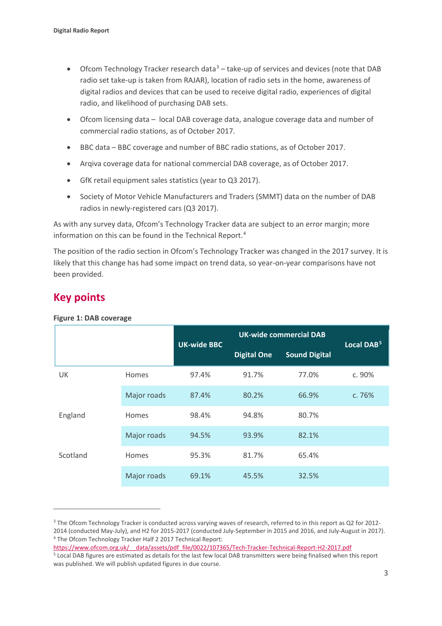- Ofcom Technology Tracker research data<sup>[3](#page-3-0)</sup> take-up of services and devices (note that DAB radio set take-up is taken from RAJAR), location of radio sets in the home, awareness of digital radios and devices that can be used to receive digital radio, experiences of digital radio, and likelihood of purchasing DAB sets.
- Ofcom licensing data local DAB coverage data, analogue coverage data and number of commercial radio stations, as of October 2017.
- BBC data BBC coverage and number of BBC radio stations, as of October 2017.
- Arqiva coverage data for national commercial DAB coverage, as of October 2017.
- GfK retail equipment sales statistics (year to Q3 2017).
- Society of Motor Vehicle Manufacturers and Traders (SMMT) data on the number of DAB radios in newly-registered cars (Q3 2017).

As with any survey data, Ofcom's Technology Tracker data are subject to an error margin; more information on this can be found in the Technical Report. [4](#page-3-1)

The position of the radio section in Ofcom's Technology Tracker was changed in the 2017 survey. It is likely that this change has had some impact on trend data, so year-on-year comparisons have not been provided.

## **Key points**

 $\overline{a}$ 

#### **Figure 1: DAB coverage**

|          |              | <b>UK-wide BBC</b> | <b>UK-wide commercial DAB</b> |                      | Local DAB <sup>5</sup> |
|----------|--------------|--------------------|-------------------------------|----------------------|------------------------|
|          |              |                    | <b>Digital One</b>            | <b>Sound Digital</b> |                        |
| UK       | <b>Homes</b> | 97.4%              | 91.7%                         | 77.0%                | c. 90%                 |
|          | Major roads  | 87.4%              | 80.2%                         | 66.9%                | c. 76%                 |
| England  | <b>Homes</b> | 98.4%              | 94.8%                         | 80.7%                |                        |
|          | Major roads  | 94.5%              | 93.9%                         | 82.1%                |                        |
| Scotland | Homes        | 95.3%              | 81.7%                         | 65.4%                |                        |
|          | Major roads  | 69.1%              | 45.5%                         | 32.5%                |                        |

<span id="page-3-0"></span><sup>3</sup> The Ofcom Technology Tracker is conducted across varying waves of research, referred to in this report as Q2 for 2012-2014 (conducted May-July), and H2 for 2015-2017 (conducted July-September in 2015 and 2016, and July-August in 2017).<br><sup>4</sup> The Ofcom Technology Tracker Half 2 2017 Technical Report:

<span id="page-3-2"></span><span id="page-3-1"></span>[https://www.ofcom.org.uk/\\_\\_data/assets/pdf\\_file/0022/107365/Tech-Tracker-Technical-Report-H2-2017.pdf](https://www.ofcom.org.uk/__data/assets/pdf_file/0022/107365/Tech-Tracker-Technical-Report-H2-2017.pdf) <sup>5</sup> Local DAB figures are estimated as details for the last few local DAB transmitters were being finalised when this report was published. We will publish updated figures in due course.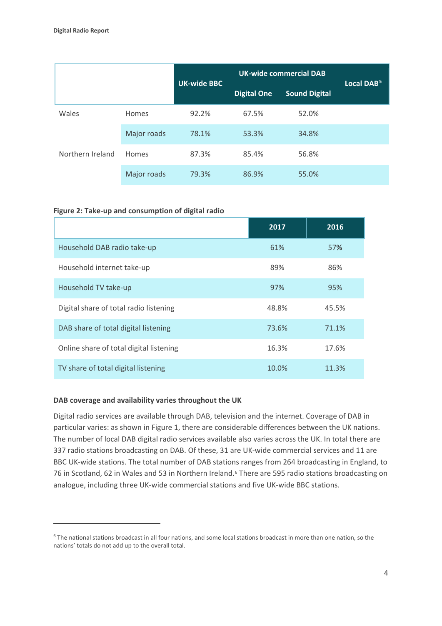|                           |             |                    | <b>UK-wide commercial DAB</b> |                      | Local DAB <sup>5</sup> |
|---------------------------|-------------|--------------------|-------------------------------|----------------------|------------------------|
|                           |             | <b>UK-wide BBC</b> | <b>Digital One</b>            | <b>Sound Digital</b> |                        |
| Wales<br>Northern Ireland | Homes       | 92.2%              | 67.5%                         | 52.0%                |                        |
|                           | Major roads | 78.1%              | 53.3%                         | 34.8%                |                        |
|                           | Homes       | 87.3%              | 85.4%                         | 56.8%                |                        |
|                           | Major roads | 79.3%              | 86.9%                         | 55.0%                |                        |

#### **Figure 2: Take-up and consumption of digital radio**

|                                         | 2017  | 2016  |
|-----------------------------------------|-------|-------|
| Household DAB radio take-up             | 61%   | 57%   |
| Household internet take-up              | 89%   | 86%   |
| Household TV take-up                    | 97%   | 95%   |
| Digital share of total radio listening  | 48.8% | 45.5% |
| DAB share of total digital listening    | 73.6% | 71.1% |
| Online share of total digital listening | 16.3% | 17.6% |
| TV share of total digital listening     | 10.0% | 11.3% |

#### **DAB coverage and availability varies throughout the UK**

 $\overline{a}$ 

Digital radio services are available through DAB, television and the internet. Coverage of DAB in particular varies: as shown in Figure 1, there are considerable differences between the UK nations. The number of local DAB digital radio services available also varies across the UK. In total there are 337 radio stations broadcasting on DAB. Of these, 31 are UK-wide commercial services and 11 are BBC UK-wide stations. The total number of DAB stations ranges from 264 broadcasting in England, to 7[6](#page-4-0) in Scotland, 62 in Wales and 53 in Northern Ireland.<sup>6</sup> There are 595 radio stations broadcasting on analogue, including three UK-wide commercial stations and five UK-wide BBC stations.

<span id="page-4-0"></span> $6$  The national stations broadcast in all four nations, and some local stations broadcast in more than one nation, so the nations' totals do not add up to the overall total.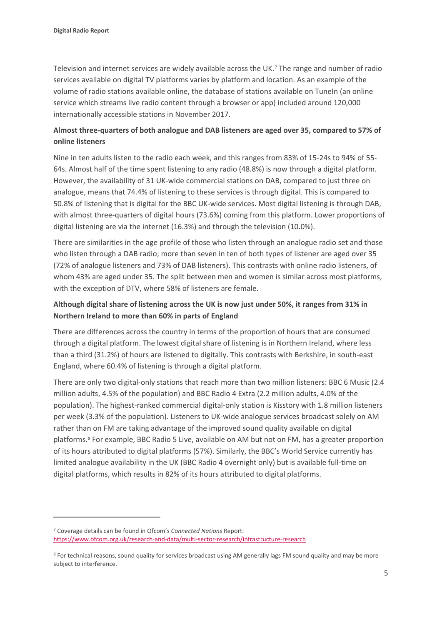$\overline{a}$ 

Television and internet services are widely available across the UK.[7](#page-5-0) The range and number of radio services available on digital TV platforms varies by platform and location. As an example of the volume of radio stations available online, the database of stations available on TuneIn (an online service which streams live radio content through a browser or app) included around 120,000 internationally accessible stations in November 2017.

## **Almost three-quarters of both analogue and DAB listeners are aged over 35, compared to 57% of online listeners**

Nine in ten adults listen to the radio each week, and this ranges from 83% of 15-24s to 94% of 55- 64s. Almost half of the time spent listening to any radio (48.8%) is now through a digital platform. However, the availability of 31 UK-wide commercial stations on DAB, compared to just three on analogue, means that 74.4% of listening to these services is through digital. This is compared to 50.8% of listening that is digital for the BBC UK-wide services. Most digital listening is through DAB, with almost three-quarters of digital hours (73.6%) coming from this platform. Lower proportions of digital listening are via the internet (16.3%) and through the television (10.0%).

There are similarities in the age profile of those who listen through an analogue radio set and those who listen through a DAB radio; more than seven in ten of both types of listener are aged over 35 (72% of analogue listeners and 73% of DAB listeners). This contrasts with online radio listeners, of whom 43% are aged under 35. The split between men and women is similar across most platforms, with the exception of DTV, where 58% of listeners are female.

### **Although digital share of listening across the UK is now just under 50%, it ranges from 31% in Northern Ireland to more than 60% in parts of England**

There are differences across the country in terms of the proportion of hours that are consumed through a digital platform. The lowest digital share of listening is in Northern Ireland, where less than a third (31.2%) of hours are listened to digitally. This contrasts with Berkshire, in south-east England, where 60.4% of listening is through a digital platform.

There are only two digital-only stations that reach more than two million listeners: BBC 6 Music (2.4 million adults, 4.5% of the population) and BBC Radio 4 Extra (2.2 million adults, 4.0% of the population). The highest-ranked commercial digital-only station is Kisstory with 1.8 million listeners per week (3.3% of the population). Listeners to UK-wide analogue services broadcast solely on AM rather than on FM are taking advantage of the improved sound quality available on digital platforms.[8](#page-5-1) For example, BBC Radio 5 Live, available on AM but not on FM, has a greater proportion of its hours attributed to digital platforms (57%). Similarly, the BBC's World Service currently has limited analogue availability in the UK (BBC Radio 4 overnight only) but is available full-time on digital platforms, which results in 82% of its hours attributed to digital platforms.

<span id="page-5-0"></span><sup>7</sup> Coverage details can be found in Ofcom's *Connected Nations* Report: <https://www.ofcom.org.uk/research-and-data/multi-sector-research/infrastructure-research>

<span id="page-5-1"></span><sup>&</sup>lt;sup>8</sup> For technical reasons, sound quality for services broadcast using AM generally lags FM sound quality and may be more subject to interference.